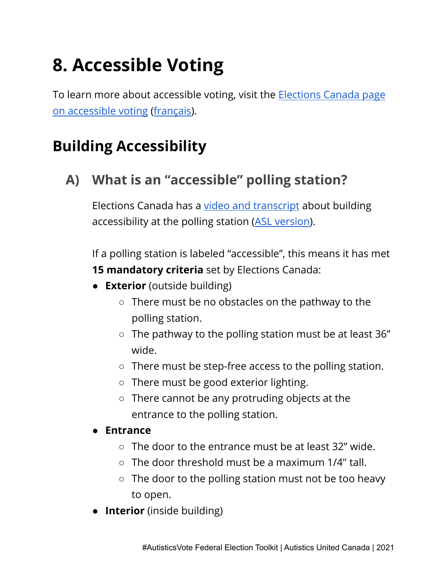# **8. Accessible Voting**

To learn more about accessible voting, visit the [Elections](https://www.elections.ca/content2.aspx?section=acc&document=index&lang=e) Canada page on [accessible](https://www.elections.ca/content2.aspx?section=acc&document=index&lang=e) voting [\(français\)](https://www.elections.ca/content2.aspx?section=acc&document=index&lang=f).

#### **Building Accessibility**

#### **A) What is an "accessible" polling station?**

Elections Canada has a video and [transcript](https://www.elections.ca/content2.aspx?section=spr&dir=voting&document=vidmfea&lang=e) about building accessibility at the polling station (ASL [version\)](https://www.elections.ca/content2.aspx?section=spr&dir=voting&document=vidmfea_asl&lang=e).

If a polling station is labeled "accessible", this means it has met **15 mandatory criteria** set by Elections Canada:

- **Exterior** (outside building)
	- $\circ$  There must be no obstacles on the pathway to the polling station.
	- The pathway to the polling station must be at least 36" wide.
	- There must be step-free access to the polling station.
	- There must be good exterior lighting.
	- There cannot be any protruding objects at the entrance to the polling station.

#### **● Entrance**

- $\circ$  The door to the entrance must be at least 32" wide.
- $\circ$  The door threshold must be a maximum 1/4" tall.
- The door to the polling station must not be too heavy to open.
- **Interior** (inside building)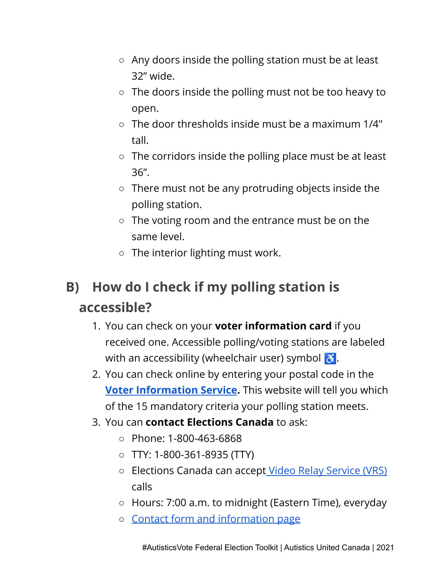- Any doors inside the polling station must be at least 32" wide.
- The doors inside the polling must not be too heavy to open.
- $\circ$  The door thresholds inside must be a maximum 1/4" tall.
- The corridors inside the polling place must be at least 36".
- There must not be any protruding objects inside the polling station.
- The voting room and the entrance must be on the same level.
- The interior lighting must work.

### **B) How do I check if my polling station is accessible?**

- 1. You can check on your **voter information card** if you received one. Accessible polling/voting stations are labeled with an accessibility (wheelchair user) symbol  $\mathcal{E}$ .
- 2. You can check online by entering your postal code in the **Voter [Information](https://www.elections.ca/scripts/vis/FindED?L=e&PAGEID=20) Service.** This website will tell you which of the 15 mandatory criteria your polling station meets.
- 3. You can **contact Elections Canada** to ask:
	- Phone: 1-800-463-6868
	- TTY: 1-800-361-8935 (TTY)
	- Elections Canada can accept Video Relay [Service](https://srvcanadavrs.ca/en/) (VRS) calls
	- Hours: 7:00 a.m. to midnight (Eastern Time), everyday
	- Contact form and [information](https://www.elections.ca/content2.aspx?section=conge&document=index&lang=e) page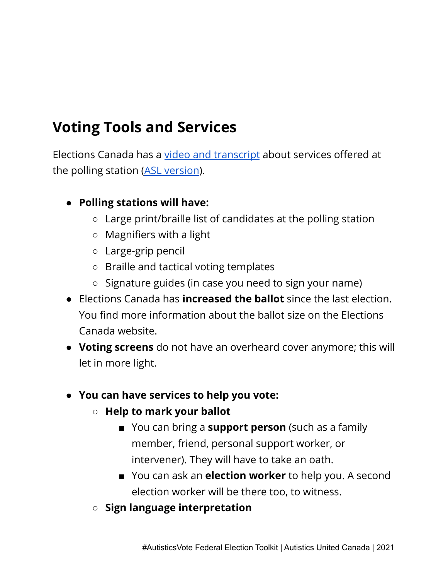#### **Voting Tools and Services**

Elections Canada has a video and [transcript](https://www.elections.ca/content2.aspx?section=spr&dir=voting&document=vidvts&lang=e) about services offered at the polling station (ASL [version](https://www.elections.ca/content2.aspx?section=spr&dir=voting&document=vidvts_asl&lang=e)).

- **● Polling stations will have:**
	- Large print/braille list of candidates at the polling station
	- Magnifiers with a light
	- Large-grip pencil
	- Braille and tactical voting templates
	- Signature guides (in case you need to sign your name)
- Elections Canada has **increased the ballot** since the last election. You find more information about the ballot size on the Elections Canada website.
- **Voting screens** do not have an overheard cover anymore; this will let in more light.
- **● You can have services to help you vote:**
	- **○ Help to mark your ballot**
		- You can bring a **support person** (such as a family member, friend, personal support worker, or intervener). They will have to take an oath.
		- You can ask an **election worker** to help you. A second election worker will be there too, to witness.
	- **○ Sign language interpretation**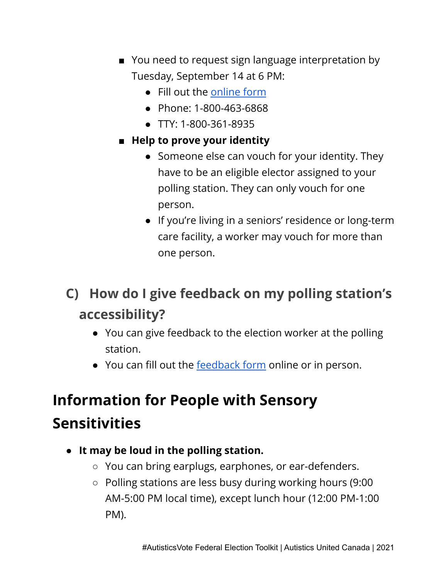- You need to request sign language interpretation by Tuesday, September 14 at 6 PM:
	- Fill out the [online](https://csep-pesc.elections.ca/en-CA/intake/) form
	- Phone: 1-800-463-6868
	- TTY: 1-800-361-8935
- **■ Help to prove your identity**
	- Someone else can vouch for your identity. They have to be an eligible elector assigned to your polling station. They can only vouch for one person.
	- If you're living in a seniors' residence or long-term care facility, a worker may vouch for more than one person.

#### **C) How do I give feedback on my polling station's accessibility?**

- You can give feedback to the election worker at the polling station.
- You can fill out the [feedback](https://csep-pesc.elections.ca/en-CA/intake/) form online or in person.

## **Information for People with Sensory Sensitivities**

- **● It may be loud in the polling station.**
	- You can bring earplugs, earphones, or ear-defenders.
	- Polling stations are less busy during working hours (9:00 AM-5:00 PM local time), except lunch hour (12:00 PM-1:00 PM).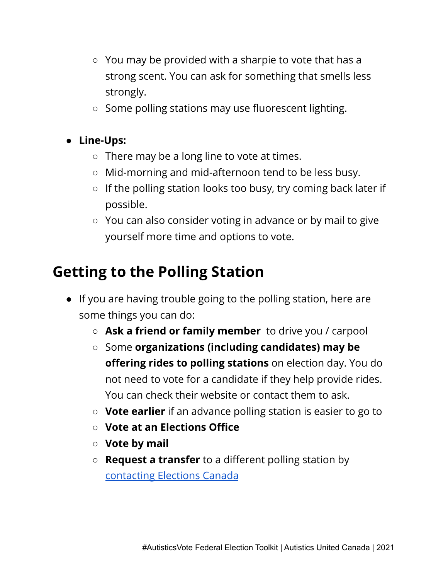- You may be provided with a sharpie to vote that has a strong scent. You can ask for something that smells less strongly.
- Some polling stations may use fluorescent lighting.

#### **● Line-Ups:**

- There may be a long line to vote at times.
- Mid-morning and mid-afternoon tend to be less busy.
- If the polling station looks too busy, try coming back later if possible.
- You can also consider voting in advance or by mail to give yourself more time and options to vote.

#### **Getting to the Polling Station**

- If you are having trouble going to the polling station, here are some things you can do:
	- **Ask a friend or family member** to drive you / carpool
	- Some **organizations (including candidates) may be offering rides to polling stations** on election day. You do not need to vote for a candidate if they help provide rides. You can check their website or contact them to ask.
	- **Vote earlier** if an advance polling station is easier to go to
	- **○ Vote at an Elections Office**
	- **○ Vote by mail**
	- **Request a transfer** to a different polling station by [contacting](https://elections.ca/content2.aspx?section=conge&document=index&lang=e) Elections Canada